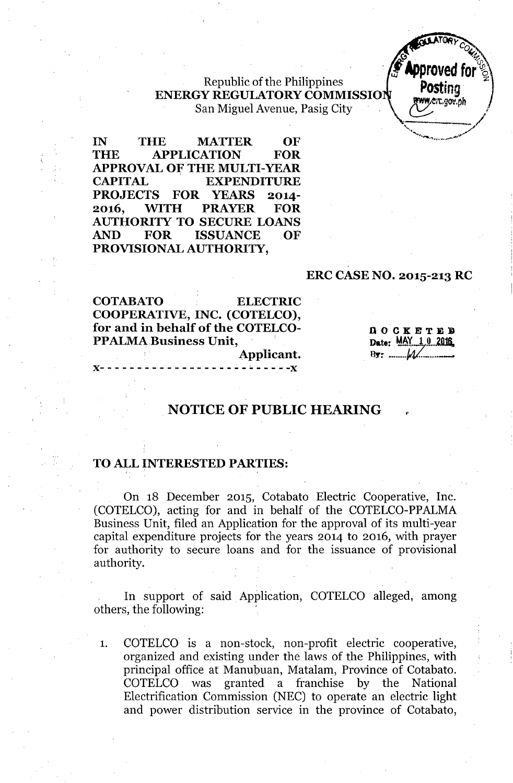Republic of the Philippines **ENERGY REGULATORY COMMISSIO** San Miguel Avenue, Pasig City



**IN THE MATTER OF THE APPLICATION FOR APPROVAL OF THE MULTI-YEAR CAPITAL EXPENDITURE PROJECTS FOR YEARS 2014- 2016, WITH PRAYER FOR AUTHORITY TO SECURE LOANS AND FOR ISSUANCE OF PROVISIONAL AUTHORITY,**

### **ERC CASE NO. 2015-213 RC**

**COTABATO ELECTRIC** COOPERATIVE, INC. (COTELCO), for and in behalf of the COTELCO-**PPALMA Business Unit.** 

QOCKETEE Date: MAY 1.0.2016  $B\ddot{\mathbf{y}}$ : ........ $M$ 

•

# **NOTICE OF PUBLIC HEARING**

Applicant.

#### **TO ALL INTERESTED PARTIES:**

On 18 December 2015, Cotabato Electric Cooperative, Inc. (COTELCO), acting for and in behalf of the COTELCO-PPALMA Business Unit, filed an Application for the approval of its multi-year capital expenditure projects for the years 2014 to 2016, with prayer for authority to secure loans and for the issuance of provisional authority.

**In** support of said Application, COTELCO alleged, among others, the following:

1. COTELCO is a non-stock, non-profit electric cooperative, organized and existing under the. laws of the Philippines, with principal office at Manubuan, Matalam, Province of Cotabato. COTELCO was granted a franchise by the National Electrification Commission (NEC) to operate an electric light and power distribution service in the province of Cotabato,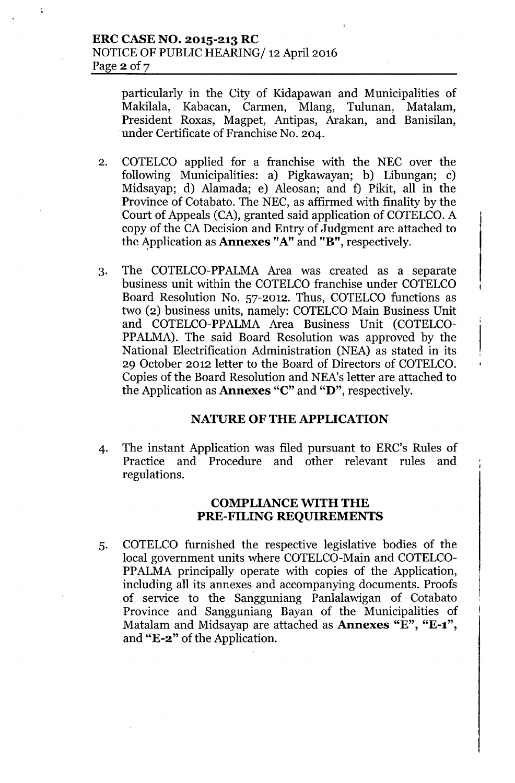particularly in the City of Kidapawan and Municipalities of Makilala, Kabacan, Carmen, Mlang, Tulunan, Matalam, President Roxas, Magpet, Antipas, Arakan, and Banisilan, under Certificate of Franchise No. 204.

- 2. COTELCO applied for a franchise with the NEC over the following Municipalities: a) Pigkawayan; b) Libungan; c) Midsayap; d) Alamada; e) Aleosan; and f) Pikit, all in the Province of Cotabato. The NEC, as affirmed with finality by the Court of Appeals (CA), granted said application of COTELCO. A copy of the CA Decision and Entry of Judgment are attached to the 4pplication as Annexes "A" and "B", respectively.
- 3. The COTELCO-PPALMA Area was created as a separate business unit within the COTELCO franchise under COTELCO Board Resolution No. 57-2012. Thus, COTELCO functions as two (2) business units, namely: COTELCO Main Business Unit and COTELCO-PPALMA Area Business Unit (COTELCO-PPALMA). The said Board Resolution was approved by the National Electrification Administration (NEA) as stated in its 29 October 2012 letter to the Board of Directors of COTELCO. Copies of the Board Resolution and NEA's letter are attached to the Application as Annexes "C" and "D", respectively.

### NATURE OF THE APPLICATION

4. The instant Application was filed pursuant to ERC's Rules of Practice and Procedure and other relevant rules and regulations.

#### COMPLIANCE WITH THE PRE-FILING REQUIREMENTS

5. COTELCO furnished the respective legislative bodies of the local government units where COTELCO-Main and COTELCO-PPALMA principally operate with copies of the Application, including all its annexes and accompanying documents. Proofs of service to the Sangguniang Panlalawigan of Cotabato Province and Sangguniang Bayan of the Municipalities of Matalam and Midsayap are attached as **Annexes** "E", "E-1", and "E-2" of the Application.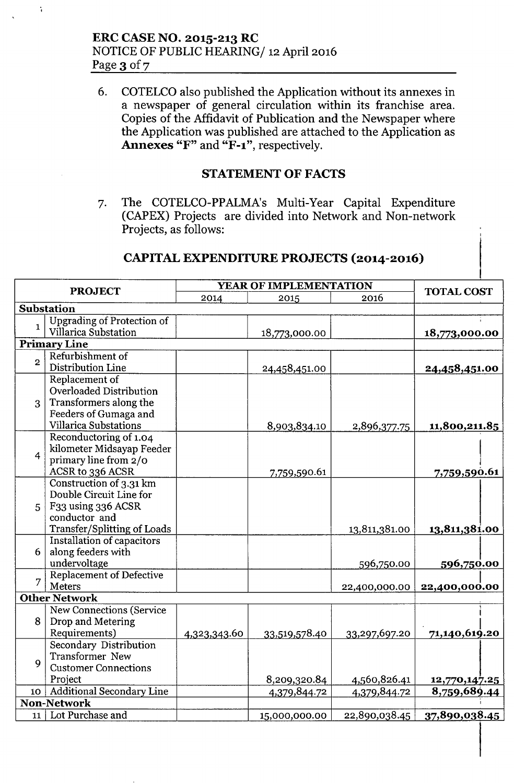$\ddot{\cdot}$ 

6. COTELCO also published the Application without its annexes in a newspaper of general circulation within its franchise area. Copies of the Affidavit of Publication and the Newspaper where the Application was published are attached to the Application as Annexes "F" and "F-1", respectively.

## STATEMENT OF FACTS

7. The COTELCO-PPALMA's Multi-Year Capital Expenditure (CAPEX) Projects are divided into Network and Non-network Projects, as follows:

# CAPITAL EXPENDITURE PROJECTS (2014-2016)

| <b>PROJECT</b>     |                                   | YEAR OF IMPLEMENTATION |               |               |                   |  |  |  |  |  |
|--------------------|-----------------------------------|------------------------|---------------|---------------|-------------------|--|--|--|--|--|
|                    |                                   | 2014                   | 2015          | 2016          | <b>TOTAL COST</b> |  |  |  |  |  |
|                    | Substation                        |                        |               |               |                   |  |  |  |  |  |
| $\mathbf{1}$       | <b>Upgrading of Protection of</b> |                        |               |               |                   |  |  |  |  |  |
|                    | Villarica Substation              |                        | 18,773,000.00 |               | 18,773,000.00     |  |  |  |  |  |
|                    | <b>Primary Line</b>               |                        |               |               |                   |  |  |  |  |  |
| $\overline{2}$     | Refurbishment of                  |                        |               |               |                   |  |  |  |  |  |
|                    | Distribution Line                 |                        | 24,458,451.00 |               | 24,458,451.00     |  |  |  |  |  |
|                    | Replacement of                    |                        |               |               |                   |  |  |  |  |  |
|                    | Overloaded Distribution           |                        |               |               |                   |  |  |  |  |  |
|                    | 3 Transformers along the          |                        |               |               |                   |  |  |  |  |  |
|                    | Feeders of Gumaga and             |                        |               |               |                   |  |  |  |  |  |
|                    | <b>Villarica Substations</b>      |                        | 8,903,834.10  | 2,896,377.75  | 11,800,211.85     |  |  |  |  |  |
| $\overline{4}$     | Reconductoring of 1.04            |                        |               |               |                   |  |  |  |  |  |
|                    | kilometer Midsayap Feeder         |                        |               |               |                   |  |  |  |  |  |
|                    | primary line from 2/0             |                        |               |               |                   |  |  |  |  |  |
|                    | ACSR to 336 ACSR                  |                        | 7,759,590.61  |               | 7,759,590.61      |  |  |  |  |  |
| 5 <sup>1</sup>     | Construction of 3.31 km           |                        |               |               |                   |  |  |  |  |  |
|                    | Double Circuit Line for           |                        |               |               |                   |  |  |  |  |  |
|                    | F33 using 336 ACSR                |                        |               |               |                   |  |  |  |  |  |
|                    | conductor and                     |                        |               |               |                   |  |  |  |  |  |
|                    | Transfer/Splitting of Loads       |                        |               | 13,811,381.00 | 13,811,381.00     |  |  |  |  |  |
|                    | Installation of capacitors        |                        |               |               |                   |  |  |  |  |  |
| 6                  | along feeders with                |                        |               |               |                   |  |  |  |  |  |
|                    | undervoltage                      |                        |               | 596,750.00    | 596,750.00        |  |  |  |  |  |
| 7                  | Replacement of Defective          |                        |               |               |                   |  |  |  |  |  |
|                    | Meters                            |                        |               | 22,400,000.00 | 22,400,000.00     |  |  |  |  |  |
|                    | <b>Other Network</b>              |                        |               |               |                   |  |  |  |  |  |
| 8                  | <b>New Connections (Service</b>   |                        |               |               |                   |  |  |  |  |  |
|                    | Drop and Metering                 |                        |               |               |                   |  |  |  |  |  |
|                    | Requirements)                     | 4,323,343.60           | 33,519,578.40 | 33,297,697.20 | 71,140,619.20     |  |  |  |  |  |
| 9                  | Secondary Distribution            |                        |               |               |                   |  |  |  |  |  |
|                    | Transformer New                   |                        |               |               |                   |  |  |  |  |  |
|                    | <b>Customer Connections</b>       |                        |               |               |                   |  |  |  |  |  |
|                    | Project                           |                        | 8,209,320.84  | 4,560,826.41  | 12,770,147.25     |  |  |  |  |  |
| 10                 | <b>Additional Secondary Line</b>  |                        | 4,379,844.72  | 4,379,844.72  | 8,759,689.44      |  |  |  |  |  |
| <b>Non-Network</b> |                                   |                        |               |               |                   |  |  |  |  |  |
| 11                 | Lot Purchase and                  |                        | 15,000,000.00 | 22,890,038.45 | 37,890,038.45     |  |  |  |  |  |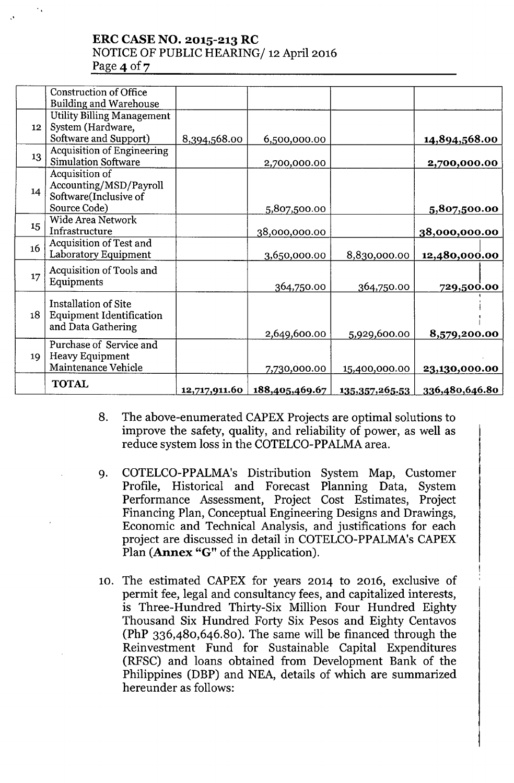## ERC CASE NO. 2015-213 RC NOTICE OF PUBLIC HEARING/ 12 April 2016 Page  $4$  of  $7$

| <b>Building and Warehouse</b>   |                                                                                                                                                                                                                                                                                                                                                                                                                                            |               |                                                                                               |                                             |                                                                                                 |
|---------------------------------|--------------------------------------------------------------------------------------------------------------------------------------------------------------------------------------------------------------------------------------------------------------------------------------------------------------------------------------------------------------------------------------------------------------------------------------------|---------------|-----------------------------------------------------------------------------------------------|---------------------------------------------|-------------------------------------------------------------------------------------------------|
|                                 |                                                                                                                                                                                                                                                                                                                                                                                                                                            |               |                                                                                               |                                             |                                                                                                 |
| System (Hardware,               |                                                                                                                                                                                                                                                                                                                                                                                                                                            |               |                                                                                               |                                             |                                                                                                 |
| Software and Support)           | 8,394,568.00                                                                                                                                                                                                                                                                                                                                                                                                                               | 6,500,000.00  |                                                                                               | 14,894,568.00                               |                                                                                                 |
|                                 |                                                                                                                                                                                                                                                                                                                                                                                                                                            |               |                                                                                               |                                             |                                                                                                 |
|                                 |                                                                                                                                                                                                                                                                                                                                                                                                                                            | 2,700,000.00  |                                                                                               | 2,700,000.00                                |                                                                                                 |
|                                 |                                                                                                                                                                                                                                                                                                                                                                                                                                            |               |                                                                                               |                                             |                                                                                                 |
|                                 |                                                                                                                                                                                                                                                                                                                                                                                                                                            |               |                                                                                               |                                             |                                                                                                 |
|                                 |                                                                                                                                                                                                                                                                                                                                                                                                                                            |               |                                                                                               |                                             |                                                                                                 |
|                                 |                                                                                                                                                                                                                                                                                                                                                                                                                                            |               |                                                                                               |                                             |                                                                                                 |
|                                 |                                                                                                                                                                                                                                                                                                                                                                                                                                            |               |                                                                                               |                                             |                                                                                                 |
|                                 |                                                                                                                                                                                                                                                                                                                                                                                                                                            | 38,000,000.00 |                                                                                               | 38,000,000.00                               |                                                                                                 |
|                                 |                                                                                                                                                                                                                                                                                                                                                                                                                                            |               |                                                                                               |                                             |                                                                                                 |
|                                 |                                                                                                                                                                                                                                                                                                                                                                                                                                            | 3,650,000.00  | 8,830,000.00                                                                                  | 12,480,000.00                               |                                                                                                 |
|                                 |                                                                                                                                                                                                                                                                                                                                                                                                                                            |               |                                                                                               |                                             |                                                                                                 |
|                                 |                                                                                                                                                                                                                                                                                                                                                                                                                                            |               |                                                                                               |                                             |                                                                                                 |
|                                 |                                                                                                                                                                                                                                                                                                                                                                                                                                            |               |                                                                                               |                                             |                                                                                                 |
| <b>Installation of Site</b>     |                                                                                                                                                                                                                                                                                                                                                                                                                                            |               |                                                                                               |                                             |                                                                                                 |
| <b>Equipment Identification</b> |                                                                                                                                                                                                                                                                                                                                                                                                                                            |               |                                                                                               |                                             |                                                                                                 |
| and Data Gathering              |                                                                                                                                                                                                                                                                                                                                                                                                                                            |               |                                                                                               |                                             |                                                                                                 |
|                                 |                                                                                                                                                                                                                                                                                                                                                                                                                                            |               |                                                                                               |                                             |                                                                                                 |
|                                 |                                                                                                                                                                                                                                                                                                                                                                                                                                            |               |                                                                                               |                                             |                                                                                                 |
|                                 |                                                                                                                                                                                                                                                                                                                                                                                                                                            |               |                                                                                               |                                             |                                                                                                 |
|                                 |                                                                                                                                                                                                                                                                                                                                                                                                                                            |               |                                                                                               |                                             |                                                                                                 |
| <b>TOTAL</b>                    |                                                                                                                                                                                                                                                                                                                                                                                                                                            |               |                                                                                               |                                             |                                                                                                 |
| 14<br>19                        | <b>Construction of Office</b><br><b>Utility Billing Management</b><br><b>Acquisition of Engineering</b><br><b>Simulation Software</b><br>Acquisition of<br>Accounting/MSD/Payroll<br>Software(Inclusive of<br>Source Code)<br>Wide Area Network<br>Infrastructure<br>Acquisition of Test and<br>Laboratory Equipment<br>Acquisition of Tools and<br>Equipments<br>Purchase of Service and<br><b>Heavy Equipment</b><br>Maintenance Vehicle |               | 5,807,500.00<br>364,750.00<br>2,649,600.00<br>7,730,000.00<br>12,717,911.60<br>188,405,469.67 | 364,750.00<br>5,929,600.00<br>15,400,000.00 | 5,807,500.00<br>729,500.00<br>8,579,200.00<br>23,130,000.00<br>336,480,646.80<br>135,357,265.53 |

- 8. The above-enumerated CAPEX Projects are optimal solutions to improve the safety, quality, and reliability of power, as well as reduce system loss in the COTELCO-PPALMA area.
- 9. COTELCO-PPALMA's Distribution System Map, Customer Profile, Historical and Forecast Planning Data, System Performance Assessment, Project Cost Estimates, Project Financing Plan, Conceptual Engineering Designs and Drawings, Economic and Technical Analysis, and justifications for each project are discussed in detail in COTELCO-PPALMA's CAPEX Plan (Annex "G" of the Application).
- 10. The estimated CAPEX for years 2014 to 2016, exclusive of permit fee, legal and consultancy fees, and capitalized interests, is Three-Hundred Thirty-Six Million Four Hundred Eighty Thousand Six Hundred Forty Six Pesos and Eighty Centavos (PhP 336,480,646.80). The same will be financed through the Reinvestment Fund for Sustainable Capital Expenditures (RFSC) and loans obtained from Development Bank of the Philippines (DBP) and NEA, details of which are summarized hereunder as follows: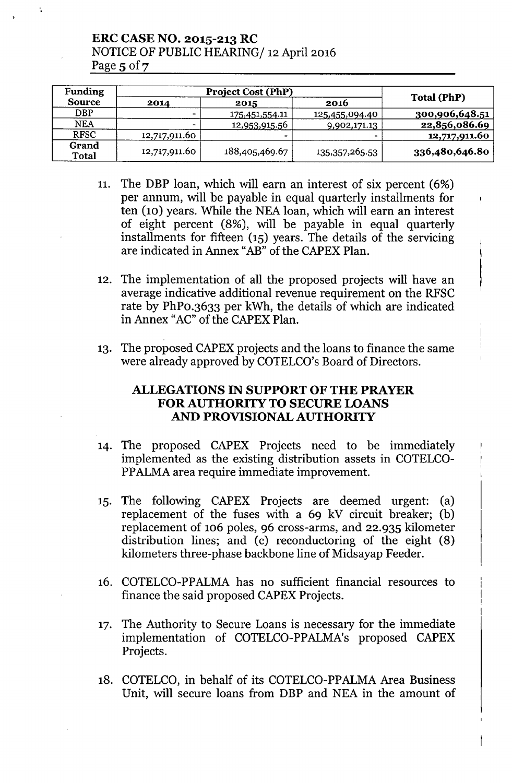ERC CASE NO. 2015-213 RC NOTICE OF PUBLIC HEARING/ 12 April 2016 Page  $5$  of  $7$ 

| <b>Funding</b>        |                          |                        |                   |                |  |
|-----------------------|--------------------------|------------------------|-------------------|----------------|--|
| <b>Source</b>         | 2014                     | 2015                   | 2016              | Total (PhP)    |  |
| <b>DBP</b>            | $\overline{\phantom{0}}$ | <u>175,451,554</u> .11 | 125,455,094.40    | 300,906,648.51 |  |
| <b>NEA</b>            | $\blacksquare$           | 12,953,915.56          | 9,902,171.13      | 22,856,086.69  |  |
| <b>RFSC</b>           | 12,717,911.60            |                        |                   | 12,717,911.60  |  |
| Grand<br><b>Total</b> | 12,717,911.60            | 188,405,469.67         | 135, 357, 265. 53 | 336,480,646.80 |  |

- 11. The DBP loan, which will earn an interest of six percent (6%) per annum, will be payable in equal quarterly installments for ten (10) years. While the NEA loan, which will earn an interest of eight percent (8%), will be payable in equal quarterly installments for fifteen (15) years. The details of the servicing are indicated in Annex "AB" of the CAPEX Plan.
- 12. The implementation of all the proposed projects will have an average indicative additional revenue requirement on the RFSC rate by PhPO.3633 per kWh, the details of which are indicated in Annex "AC" of the CAPEX Plan.
- 13. The proposed CAPEX projects and the loans to finance the same were already approved by COTELCO's Board of Directors.

## ALLEGATIONS IN SUPPORT OF THE PRAYER FOR AUTHORITY TO SECURE LOANS AND PROVISIONAL AUTHORITY

- 14. The proposed CAPEX Projects need to be immediately implemented as the existing distribution assets in COTELCO-PPALMA area require immediate improvement.
- 15. The following CAPEX Projects are deemed urgent: (a) replacement of the fuses with a 69 kV circuit breaker; (b) replacement of 106 poles, 96 cross-arms, and 22.935 kilometer distribution lines; and (c) reconductoring of the eight (8) kilometers three-phase backbone line of Midsayap Feeder.
- 16. COTELCO-PPALMA has no sufficient financial resources to finance the said proposed CAPEX Projects.
- 17. The Authority to Secure Loans is necessary for the immediate implementation of COTELCO-PPALMA's proposed CAPEX Projects.
- 18. COTELCO, in behalf of its COTELCO-PPALMA Area Business Unit, will secure loans from DBP and NEA in the amount of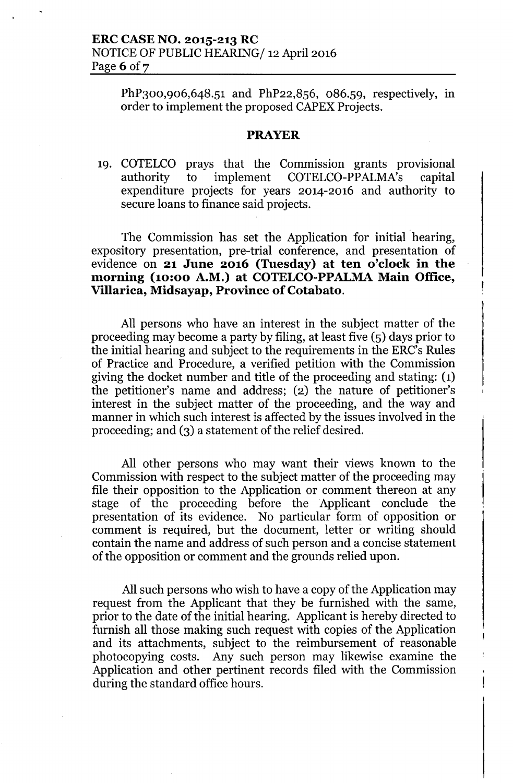PhP<sub>300</sub>,906,648.51 and PhP22,856, 086.59, respectively, in order to implement the proposed CAPEX Projects.

#### **PRAYER**

19. COTELCO prays that the Commission grants provisional authority to implement COTELCO-PPALMA's capital expenditure projects for years 2014-2016 and authority to secure loans to finance said projects.

The Commission has set the Application for initial hearing, expository presentation, pre-trial conference, and presentation of evidence on **21 June 2016 (Tuesday) at ten o'clock in the morning** (10:00 A.M.) at COTELCO-PPALMA Main Office, **Villarica, Midsayap, Province of Cotabato.**

All persons who have an interest in the subject matter of the proceeding may become a party by filing, at least five (5) days prior to the initial hearing and subject to the requirements in the ERC's Rules of Practice and Procedure, a verified petition with the Commission giving the docket number and title of the proceeding and stating: (1) the petitioner's name and address; (2) the nature of petitioner's interest in the subject matter of the proceeding, and the way and manner in which such interest is affected by the issues involved in the proceeding; and (3) a statement of the relief desired.

All other persons who may want their views known to the Commission with respect to the subject matter of the proceeding may file their opposition to the Application or comment thereon at any stage of the proceeding before the Applicant conclude the presentation of its evidence. No particular form of opposition or comment is required, but the document, letter or writing should contain the name and address of such person and a concise statement of the opposition or comment and the grounds relied upon.

All such persons who wish to have a copy of the Application may request from the Applicant that they be furnished with the same, prior to the date of the initial hearing. Applicant is hereby directed to furnish all those making such request with copies of the Application and its attachments, subject to the reimbursement of reasonable photocopying costs. Any such person may likewise examine the Application and other pertinent records filed with the Commission during the standard office hours.